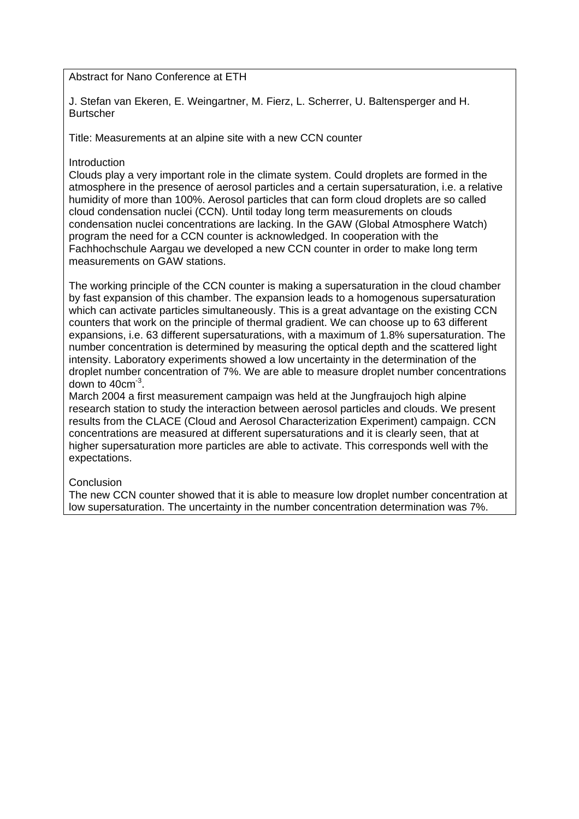Abstract for Nano Conference at ETH

J. Stefan van Ekeren, E. Weingartner, M. Fierz, L. Scherrer, U. Baltensperger and H. Burtscher

Title: Measurements at an alpine site with a new CCN counter

# **Introduction**

Clouds play a very important role in the climate system. Could droplets are formed in the atmosphere in the presence of aerosol particles and a certain supersaturation, i.e. a relative humidity of more than 100%. Aerosol particles that can form cloud droplets are so called cloud condensation nuclei (CCN). Until today long term measurements on clouds condensation nuclei concentrations are lacking. In the GAW (Global Atmosphere Watch) program the need for a CCN counter is acknowledged. In cooperation with the Fachhochschule Aargau we developed a new CCN counter in order to make long term measurements on GAW stations.

The working principle of the CCN counter is making a supersaturation in the cloud chamber by fast expansion of this chamber. The expansion leads to a homogenous supersaturation which can activate particles simultaneously. This is a great advantage on the existing CCN counters that work on the principle of thermal gradient. We can choose up to 63 different expansions, i.e. 63 different supersaturations, with a maximum of 1.8% supersaturation. The number concentration is determined by measuring the optical depth and the scattered light intensity. Laboratory experiments showed a low uncertainty in the determination of the droplet number concentration of 7%. We are able to measure droplet number concentrations down to  $40 \text{cm}^{-3}$ .

March 2004 a first measurement campaign was held at the Jungfraujoch high alpine research station to study the interaction between aerosol particles and clouds. We present results from the CLACE (Cloud and Aerosol Characterization Experiment) campaign. CCN concentrations are measured at different supersaturations and it is clearly seen, that at higher supersaturation more particles are able to activate. This corresponds well with the expectations.

## **Conclusion**

The new CCN counter showed that it is able to measure low droplet number concentration at low supersaturation. The uncertainty in the number concentration determination was 7%.